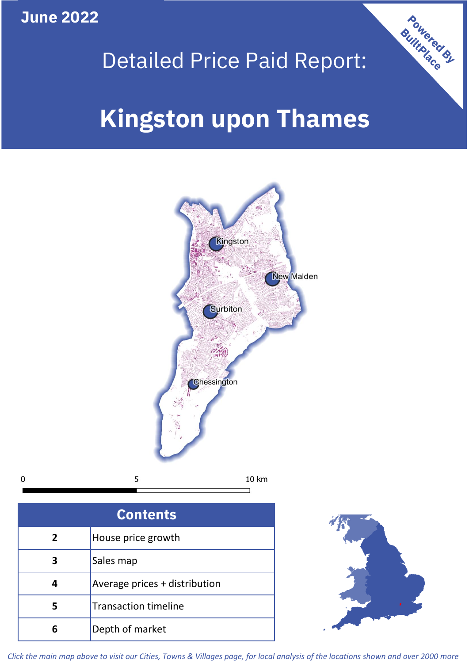**June 2022**



# Detailed Price Paid Report:

# **Kingston upon Thames**



| <b>Contents</b> |                               |  |  |
|-----------------|-------------------------------|--|--|
| $\overline{2}$  | House price growth            |  |  |
|                 | Sales map                     |  |  |
|                 | Average prices + distribution |  |  |
| 5               | <b>Transaction timeline</b>   |  |  |
| 6               | Depth of market               |  |  |



*Click the main map above to visit our Cities, Towns & Villages page, for local analysis of the locations shown and over 2000 more*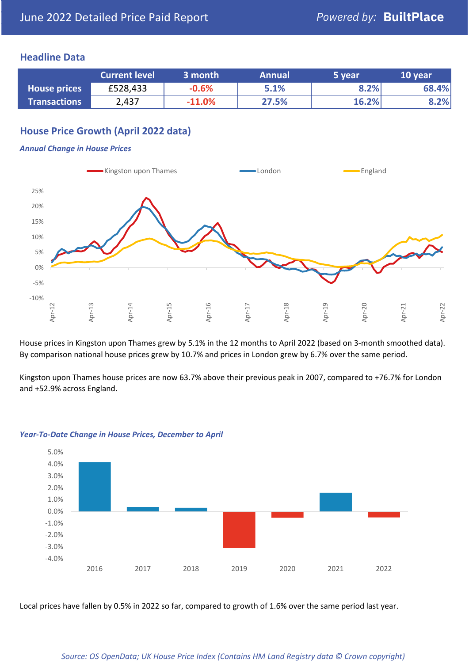#### **Headline Data**

|                     | <b>Current level</b> | 3 month  | <b>Annual</b> | 5 year | 10 year |
|---------------------|----------------------|----------|---------------|--------|---------|
| <b>House prices</b> | £528,433             | $-0.6%$  | 5.1%          | 8.2%   | 68.4%   |
| <b>Transactions</b> | 2,437                | $-11.0%$ | 27.5%         | 16.2%  | 8.2%    |

# **House Price Growth (April 2022 data)**

#### *Annual Change in House Prices*



House prices in Kingston upon Thames grew by 5.1% in the 12 months to April 2022 (based on 3-month smoothed data). By comparison national house prices grew by 10.7% and prices in London grew by 6.7% over the same period.

Kingston upon Thames house prices are now 63.7% above their previous peak in 2007, compared to +76.7% for London and +52.9% across England.



#### *Year-To-Date Change in House Prices, December to April*

Local prices have fallen by 0.5% in 2022 so far, compared to growth of 1.6% over the same period last year.

#### *Source: OS OpenData; UK House Price Index (Contains HM Land Registry data © Crown copyright)*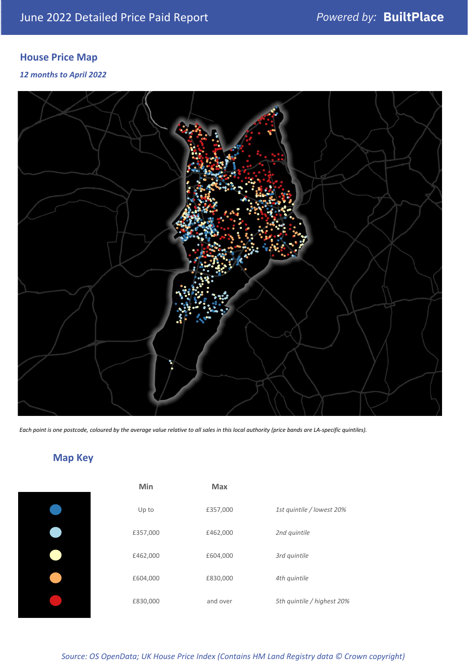# **House Price Map**

*12 months to April 2022*



*Each point is one postcode, coloured by the average value relative to all sales in this local authority (price bands are LA-specific quintiles).*

# **Map Key**

| Min      | <b>Max</b> |                            |
|----------|------------|----------------------------|
| Up to    | £357,000   | 1st quintile / lowest 20%  |
| £357,000 | £462,000   | 2nd quintile               |
| £462,000 | £604,000   | 3rd quintile               |
| £604,000 | £830,000   | 4th quintile               |
| £830,000 | and over   | 5th quintile / highest 20% |

*Source: OS OpenData; UK House Price Index (Contains HM Land Registry data © Crown copyright)*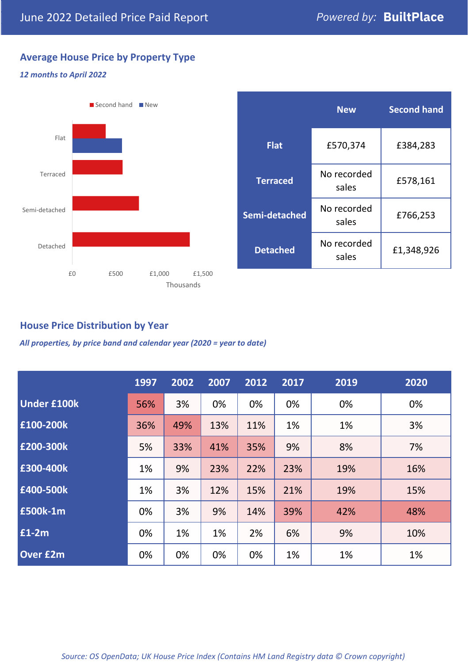# **Average House Price by Property Type**

#### *12 months to April 2022*



|                 | <b>New</b>           | <b>Second hand</b> |  |  |
|-----------------|----------------------|--------------------|--|--|
| <b>Flat</b>     | £570,374             | £384,283           |  |  |
| <b>Terraced</b> | No recorded<br>sales | £578,161           |  |  |
| Semi-detached   | No recorded<br>sales | £766,253           |  |  |
| <b>Detached</b> | No recorded<br>sales | £1,348,926         |  |  |

## **House Price Distribution by Year**

*All properties, by price band and calendar year (2020 = year to date)*

|                    | 1997 | 2002 | 2007 | 2012 | 2017 | 2019 | 2020 |
|--------------------|------|------|------|------|------|------|------|
| <b>Under £100k</b> | 56%  | 3%   | 0%   | 0%   | 0%   | 0%   | 0%   |
| £100-200k          | 36%  | 49%  | 13%  | 11%  | 1%   | 1%   | 3%   |
| E200-300k          | 5%   | 33%  | 41%  | 35%  | 9%   | 8%   | 7%   |
| £300-400k          | 1%   | 9%   | 23%  | 22%  | 23%  | 19%  | 16%  |
| £400-500k          | 1%   | 3%   | 12%  | 15%  | 21%  | 19%  | 15%  |
| £500k-1m           | 0%   | 3%   | 9%   | 14%  | 39%  | 42%  | 48%  |
| £1-2m              | 0%   | 1%   | 1%   | 2%   | 6%   | 9%   | 10%  |
| <b>Over £2m</b>    | 0%   | 0%   | 0%   | 0%   | 1%   | 1%   | 1%   |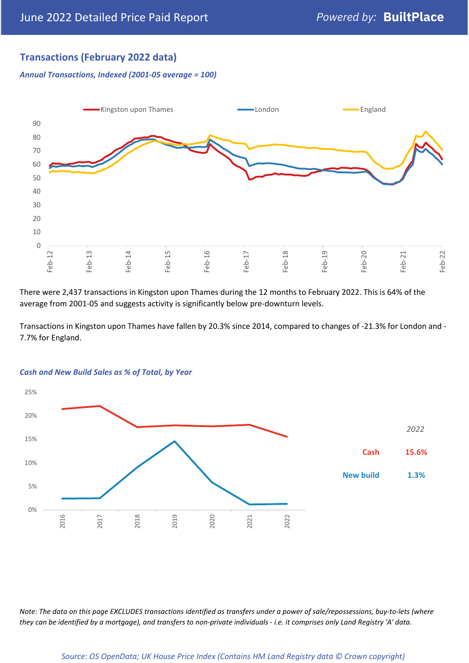## **Transactions (February 2022 data)**

*Annual Transactions, Indexed (2001-05 average = 100)*



There were 2,437 transactions in Kingston upon Thames during the 12 months to February 2022. This is 64% of the average from 2001-05 and suggests activity is significantly below pre-downturn levels.

Transactions in Kingston upon Thames have fallen by 20.3% since 2014, compared to changes of -21.3% for London and - 7.7% for England.



#### *Cash and New Build Sales as % of Total, by Year*

*Note: The data on this page EXCLUDES transactions identified as transfers under a power of sale/repossessions, buy-to-lets (where they can be identified by a mortgage), and transfers to non-private individuals - i.e. it comprises only Land Registry 'A' data.*